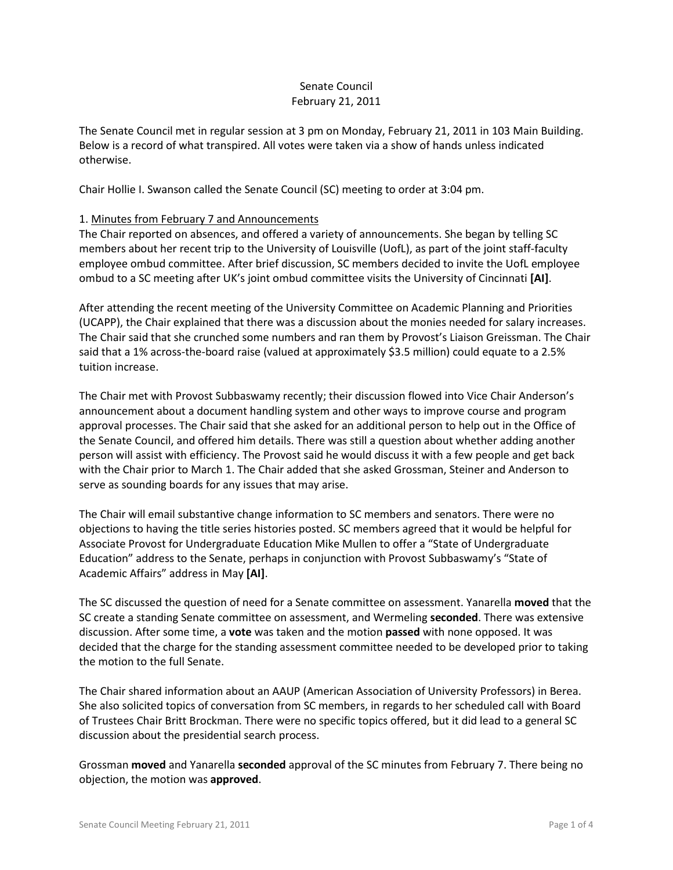## Senate Council February 21, 2011

The Senate Council met in regular session at 3 pm on Monday, February 21, 2011 in 103 Main Building. Below is a record of what transpired. All votes were taken via a show of hands unless indicated otherwise.

Chair Hollie I. Swanson called the Senate Council (SC) meeting to order at 3:04 pm.

## 1. Minutes from February 7 and Announcements

The Chair reported on absences, and offered a variety of announcements. She began by telling SC members about her recent trip to the University of Louisville (UofL), as part of the joint staff-faculty employee ombud committee. After brief discussion, SC members decided to invite the UofL employee ombud to a SC meeting after UK's joint ombud committee visits the University of Cincinnati **[AI]**.

After attending the recent meeting of the University Committee on Academic Planning and Priorities (UCAPP), the Chair explained that there was a discussion about the monies needed for salary increases. The Chair said that she crunched some numbers and ran them by Provost's Liaison Greissman. The Chair said that a 1% across-the-board raise (valued at approximately \$3.5 million) could equate to a 2.5% tuition increase.

The Chair met with Provost Subbaswamy recently; their discussion flowed into Vice Chair Anderson's announcement about a document handling system and other ways to improve course and program approval processes. The Chair said that she asked for an additional person to help out in the Office of the Senate Council, and offered him details. There was still a question about whether adding another person will assist with efficiency. The Provost said he would discuss it with a few people and get back with the Chair prior to March 1. The Chair added that she asked Grossman, Steiner and Anderson to serve as sounding boards for any issues that may arise.

The Chair will email substantive change information to SC members and senators. There were no objections to having the title series histories posted. SC members agreed that it would be helpful for Associate Provost for Undergraduate Education Mike Mullen to offer a "State of Undergraduate Education" address to the Senate, perhaps in conjunction with Provost Subbaswamy's "State of Academic Affairs" address in May **[AI]**.

The SC discussed the question of need for a Senate committee on assessment. Yanarella **moved** that the SC create a standing Senate committee on assessment, and Wermeling **seconded**. There was extensive discussion. After some time, a **vote** was taken and the motion **passed** with none opposed. It was decided that the charge for the standing assessment committee needed to be developed prior to taking the motion to the full Senate.

The Chair shared information about an AAUP (American Association of University Professors) in Berea. She also solicited topics of conversation from SC members, in regards to her scheduled call with Board of Trustees Chair Britt Brockman. There were no specific topics offered, but it did lead to a general SC discussion about the presidential search process.

Grossman **moved** and Yanarella **seconded** approval of the SC minutes from February 7. There being no objection, the motion was **approved**.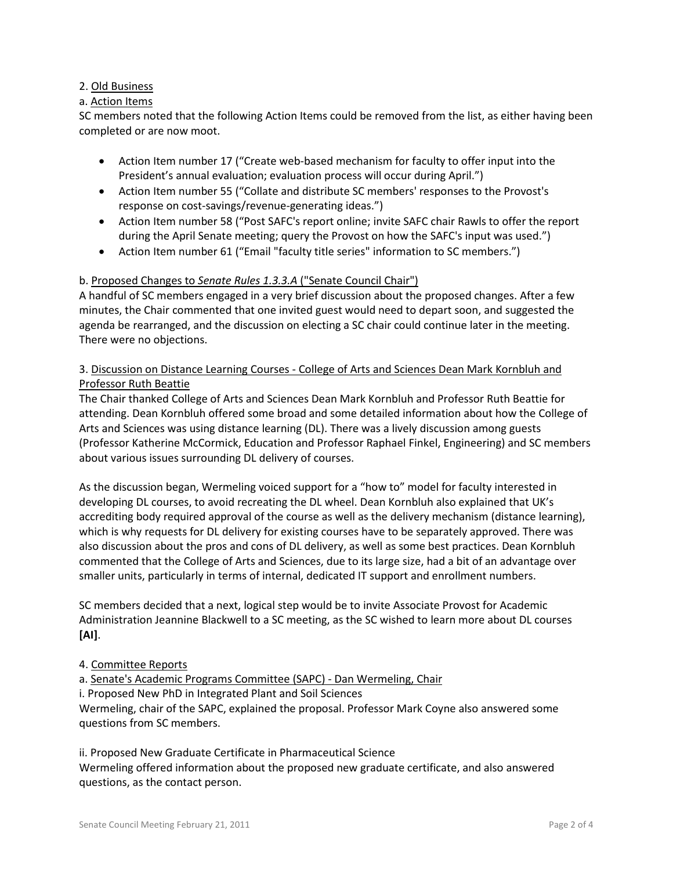# 2. Old Business

## a. Action Items

SC members noted that the following Action Items could be removed from the list, as either having been completed or are now moot.

- Action Item number 17 ("Create web-based mechanism for faculty to offer input into the President's annual evaluation; evaluation process will occur during April.")
- Action Item number 55 ("Collate and distribute SC members' responses to the Provost's response on cost-savings/revenue-generating ideas.")
- Action Item number 58 ("Post SAFC's report online; invite SAFC chair Rawls to offer the report during the April Senate meeting; query the Provost on how the SAFC's input was used.")
- Action Item number 61 ("Email "faculty title series" information to SC members.")

## b. Proposed Changes to *Senate Rules 1.3.3.A* ("Senate Council Chair")

A handful of SC members engaged in a very brief discussion about the proposed changes. After a few minutes, the Chair commented that one invited guest would need to depart soon, and suggested the agenda be rearranged, and the discussion on electing a SC chair could continue later in the meeting. There were no objections.

# 3. Discussion on Distance Learning Courses - College of Arts and Sciences Dean Mark Kornbluh and Professor Ruth Beattie

The Chair thanked College of Arts and Sciences Dean Mark Kornbluh and Professor Ruth Beattie for attending. Dean Kornbluh offered some broad and some detailed information about how the College of Arts and Sciences was using distance learning (DL). There was a lively discussion among guests (Professor Katherine McCormick, Education and Professor Raphael Finkel, Engineering) and SC members about various issues surrounding DL delivery of courses.

As the discussion began, Wermeling voiced support for a "how to" model for faculty interested in developing DL courses, to avoid recreating the DL wheel. Dean Kornbluh also explained that UK's accrediting body required approval of the course as well as the delivery mechanism (distance learning), which is why requests for DL delivery for existing courses have to be separately approved. There was also discussion about the pros and cons of DL delivery, as well as some best practices. Dean Kornbluh commented that the College of Arts and Sciences, due to its large size, had a bit of an advantage over smaller units, particularly in terms of internal, dedicated IT support and enrollment numbers.

SC members decided that a next, logical step would be to invite Associate Provost for Academic Administration Jeannine Blackwell to a SC meeting, as the SC wished to learn more about DL courses **[AI]**.

## 4. Committee Reports

a. Senate's Academic Programs Committee (SAPC) - Dan Wermeling, Chair

i. Proposed New PhD in Integrated Plant and Soil Sciences

Wermeling, chair of the SAPC, explained the proposal. Professor Mark Coyne also answered some questions from SC members.

ii. Proposed New Graduate Certificate in Pharmaceutical Science Wermeling offered information about the proposed new graduate certificate, and also answered questions, as the contact person.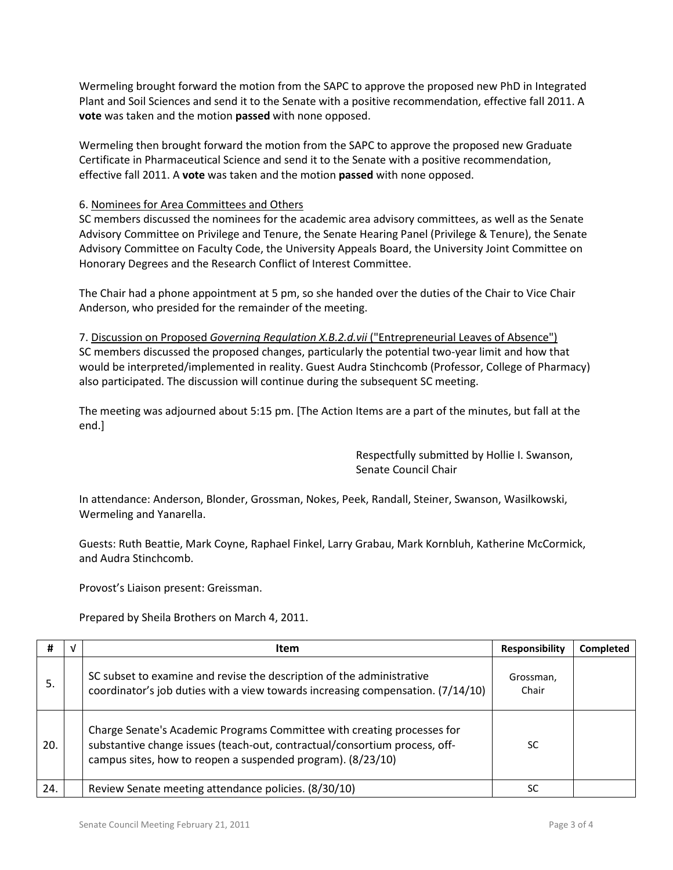Wermeling brought forward the motion from the SAPC to approve the proposed new PhD in Integrated Plant and Soil Sciences and send it to the Senate with a positive recommendation, effective fall 2011. A **vote** was taken and the motion **passed** with none opposed.

Wermeling then brought forward the motion from the SAPC to approve the proposed new Graduate Certificate in Pharmaceutical Science and send it to the Senate with a positive recommendation, effective fall 2011. A **vote** was taken and the motion **passed** with none opposed.

#### 6. Nominees for Area Committees and Others

SC members discussed the nominees for the academic area advisory committees, as well as the Senate Advisory Committee on Privilege and Tenure, the Senate Hearing Panel (Privilege & Tenure), the Senate Advisory Committee on Faculty Code, the University Appeals Board, the University Joint Committee on Honorary Degrees and the Research Conflict of Interest Committee.

The Chair had a phone appointment at 5 pm, so she handed over the duties of the Chair to Vice Chair Anderson, who presided for the remainder of the meeting.

7. Discussion on Proposed *Governing Regulation X.B.2.d.vii* ("Entrepreneurial Leaves of Absence") SC members discussed the proposed changes, particularly the potential two-year limit and how that would be interpreted/implemented in reality. Guest Audra Stinchcomb (Professor, College of Pharmacy) also participated. The discussion will continue during the subsequent SC meeting.

The meeting was adjourned about 5:15 pm. [The Action Items are a part of the minutes, but fall at the end.]

> Respectfully submitted by Hollie I. Swanson, Senate Council Chair

In attendance: Anderson, Blonder, Grossman, Nokes, Peek, Randall, Steiner, Swanson, Wasilkowski, Wermeling and Yanarella.

Guests: Ruth Beattie, Mark Coyne, Raphael Finkel, Larry Grabau, Mark Kornbluh, Katherine McCormick, and Audra Stinchcomb.

Provost's Liaison present: Greissman.

Prepared by Sheila Brothers on March 4, 2011.

| #   | V | <b>Item</b>                                                                                                                                                                                                          | Responsibility     | <b>Completed</b> |
|-----|---|----------------------------------------------------------------------------------------------------------------------------------------------------------------------------------------------------------------------|--------------------|------------------|
| 5.  |   | SC subset to examine and revise the description of the administrative<br>coordinator's job duties with a view towards increasing compensation. (7/14/10)                                                             | Grossman,<br>Chair |                  |
| 20. |   | Charge Senate's Academic Programs Committee with creating processes for<br>substantive change issues (teach-out, contractual/consortium process, off-<br>campus sites, how to reopen a suspended program). (8/23/10) | SC                 |                  |
| 24. |   | Review Senate meeting attendance policies. (8/30/10)                                                                                                                                                                 | SC                 |                  |